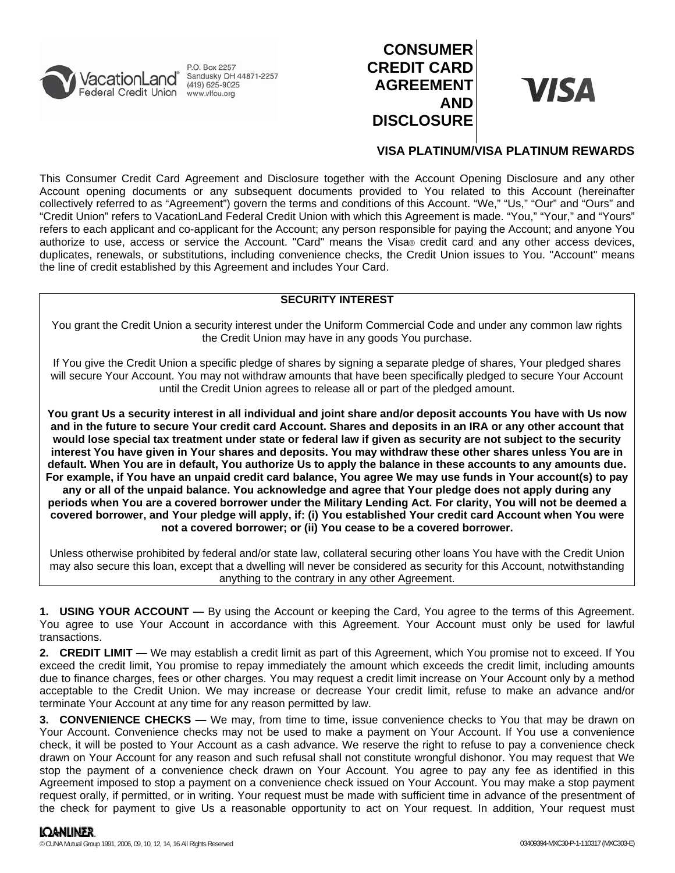

P.O. Box 2257 Sandusky OH 44871-2257  $(419)$  625-9025

# **CONSUMER CREDIT CARD AGREEMENT AND DISCLOSURE**



## **VISA PLATINUM/VISA PLATINUM REWARDS**

This Consumer Credit Card Agreement and Disclosure together with the Account Opening Disclosure and any other Account opening documents or any subsequent documents provided to You related to this Account (hereinafter collectively referred to as "Agreement") govern the terms and conditions of this Account. "We," "Us," "Our" and "Ours" and "Credit Union" refers to VacationLand Federal Credit Union with which this Agreement is made. "You," "Your," and "Yours" refers to each applicant and co-applicant for the Account; any person responsible for paying the Account; and anyone You authorize to use, access or service the Account. "Card" means the Visa® credit card and any other access devices, duplicates, renewals, or substitutions, including convenience checks, the Credit Union issues to You. "Account" means the line of credit established by this Agreement and includes Your Card.

## **SECURITY INTEREST**

You grant the Credit Union a security interest under the Uniform Commercial Code and under any common law rights the Credit Union may have in any goods You purchase.

If You give the Credit Union a specific pledge of shares by signing a separate pledge of shares, Your pledged shares will secure Your Account. You may not withdraw amounts that have been specifically pledged to secure Your Account until the Credit Union agrees to release all or part of the pledged amount.

**You grant Us a security interest in all individual and joint share and/or deposit accounts You have with Us now and in the future to secure Your credit card Account. Shares and deposits in an IRA or any other account that would lose special tax treatment under state or federal law if given as security are not subject to the security interest You have given in Your shares and deposits. You may withdraw these other shares unless You are in default. When You are in default, You authorize Us to apply the balance in these accounts to any amounts due. For example, if You have an unpaid credit card balance, You agree We may use funds in Your account(s) to pay any or all of the unpaid balance. You acknowledge and agree that Your pledge does not apply during any periods when You are a covered borrower under the Military Lending Act. For clarity, You will not be deemed a covered borrower, and Your pledge will apply, if: (i) You established Your credit card Account when You were not a covered borrower; or (ii) You cease to be a covered borrower.**

Unless otherwise prohibited by federal and/or state law, collateral securing other loans You have with the Credit Union may also secure this loan, except that a dwelling will never be considered as security for this Account, notwithstanding anything to the contrary in any other Agreement.

**1. USING YOUR ACCOUNT —** By using the Account or keeping the Card, You agree to the terms of this Agreement. You agree to use Your Account in accordance with this Agreement. Your Account must only be used for lawful transactions.

**2. CREDIT LIMIT —** We may establish a credit limit as part of this Agreement, which You promise not to exceed. If You exceed the credit limit, You promise to repay immediately the amount which exceeds the credit limit, including amounts due to finance charges, fees or other charges. You may request a credit limit increase on Your Account only by a method acceptable to the Credit Union. We may increase or decrease Your credit limit, refuse to make an advance and/or terminate Your Account at any time for any reason permitted by law.

**3. CONVENIENCE CHECKS —** We may, from time to time, issue convenience checks to You that may be drawn on Your Account. Convenience checks may not be used to make a payment on Your Account. If You use a convenience check, it will be posted to Your Account as a cash advance. We reserve the right to refuse to pay a convenience check drawn on Your Account for any reason and such refusal shall not constitute wrongful dishonor. You may request that We stop the payment of a convenience check drawn on Your Account. You agree to pay any fee as identified in this Agreement imposed to stop a payment on a convenience check issued on Your Account. You may make a stop payment request orally, if permitted, or in writing. Your request must be made with sufficient time in advance of the presentment of the check for payment to give Us a reasonable opportunity to act on Your request. In addition, Your request must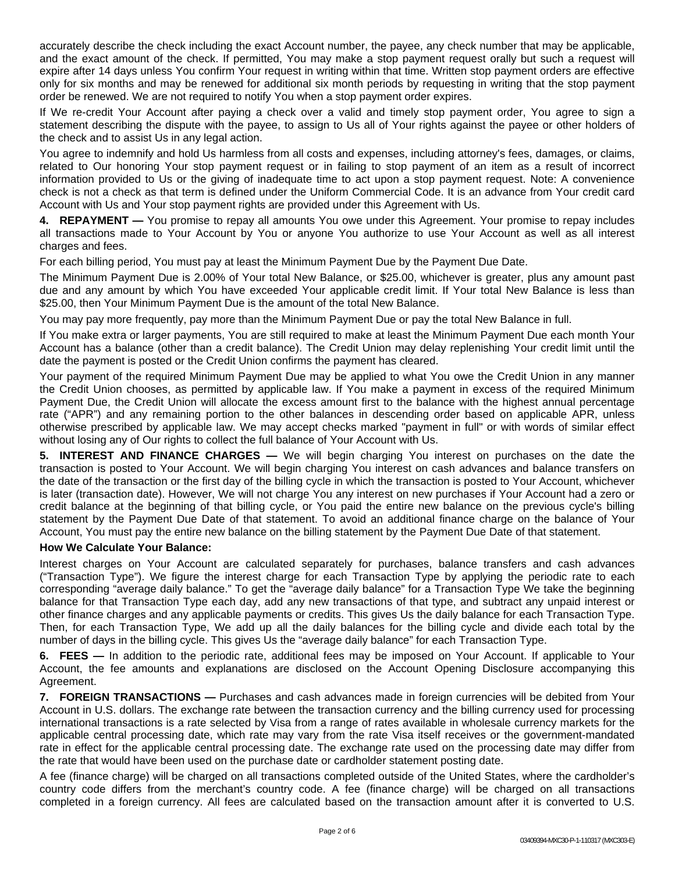accurately describe the check including the exact Account number, the payee, any check number that may be applicable, and the exact amount of the check. If permitted, You may make a stop payment request orally but such a request will expire after 14 days unless You confirm Your request in writing within that time. Written stop payment orders are effective only for six months and may be renewed for additional six month periods by requesting in writing that the stop payment order be renewed. We are not required to notify You when a stop payment order expires.

If We re-credit Your Account after paying a check over a valid and timely stop payment order, You agree to sign a statement describing the dispute with the payee, to assign to Us all of Your rights against the payee or other holders of the check and to assist Us in any legal action.

You agree to indemnify and hold Us harmless from all costs and expenses, including attorney's fees, damages, or claims, related to Our honoring Your stop payment request or in failing to stop payment of an item as a result of incorrect information provided to Us or the giving of inadequate time to act upon a stop payment request. Note: A convenience check is not a check as that term is defined under the Uniform Commercial Code. It is an advance from Your credit card Account with Us and Your stop payment rights are provided under this Agreement with Us.

**4. REPAYMENT —** You promise to repay all amounts You owe under this Agreement. Your promise to repay includes all transactions made to Your Account by You or anyone You authorize to use Your Account as well as all interest charges and fees.

For each billing period, You must pay at least the Minimum Payment Due by the Payment Due Date.

The Minimum Payment Due is 2.00% of Your total New Balance, or \$25.00, whichever is greater, plus any amount past due and any amount by which You have exceeded Your applicable credit limit. If Your total New Balance is less than \$25.00, then Your Minimum Payment Due is the amount of the total New Balance.

You may pay more frequently, pay more than the Minimum Payment Due or pay the total New Balance in full.

If You make extra or larger payments, You are still required to make at least the Minimum Payment Due each month Your Account has a balance (other than a credit balance). The Credit Union may delay replenishing Your credit limit until the date the payment is posted or the Credit Union confirms the payment has cleared.

Your payment of the required Minimum Payment Due may be applied to what You owe the Credit Union in any manner the Credit Union chooses, as permitted by applicable law. If You make a payment in excess of the required Minimum Payment Due, the Credit Union will allocate the excess amount first to the balance with the highest annual percentage rate ("APR") and any remaining portion to the other balances in descending order based on applicable APR, unless otherwise prescribed by applicable law. We may accept checks marked "payment in full" or with words of similar effect without losing any of Our rights to collect the full balance of Your Account with Us.

**5. INTEREST AND FINANCE CHARGES —** We will begin charging You interest on purchases on the date the transaction is posted to Your Account. We will begin charging You interest on cash advances and balance transfers on the date of the transaction or the first day of the billing cycle in which the transaction is posted to Your Account, whichever is later (transaction date). However, We will not charge You any interest on new purchases if Your Account had a zero or credit balance at the beginning of that billing cycle, or You paid the entire new balance on the previous cycle's billing statement by the Payment Due Date of that statement. To avoid an additional finance charge on the balance of Your Account, You must pay the entire new balance on the billing statement by the Payment Due Date of that statement.

## **How We Calculate Your Balance:**

Interest charges on Your Account are calculated separately for purchases, balance transfers and cash advances ("Transaction Type"). We figure the interest charge for each Transaction Type by applying the periodic rate to each corresponding "average daily balance." To get the "average daily balance" for a Transaction Type We take the beginning balance for that Transaction Type each day, add any new transactions of that type, and subtract any unpaid interest or other finance charges and any applicable payments or credits. This gives Us the daily balance for each Transaction Type. Then, for each Transaction Type, We add up all the daily balances for the billing cycle and divide each total by the number of days in the billing cycle. This gives Us the "average daily balance" for each Transaction Type.

**6. FEES —** In addition to the periodic rate, additional fees may be imposed on Your Account. If applicable to Your Account, the fee amounts and explanations are disclosed on the Account Opening Disclosure accompanying this Agreement.

**7. FOREIGN TRANSACTIONS —** Purchases and cash advances made in foreign currencies will be debited from Your Account in U.S. dollars. The exchange rate between the transaction currency and the billing currency used for processing international transactions is a rate selected by Visa from a range of rates available in wholesale currency markets for the applicable central processing date, which rate may vary from the rate Visa itself receives or the government-mandated rate in effect for the applicable central processing date. The exchange rate used on the processing date may differ from the rate that would have been used on the purchase date or cardholder statement posting date.

A fee (finance charge) will be charged on all transactions completed outside of the United States, where the cardholder's country code differs from the merchant's country code. A fee (finance charge) will be charged on all transactions completed in a foreign currency. All fees are calculated based on the transaction amount after it is converted to U.S.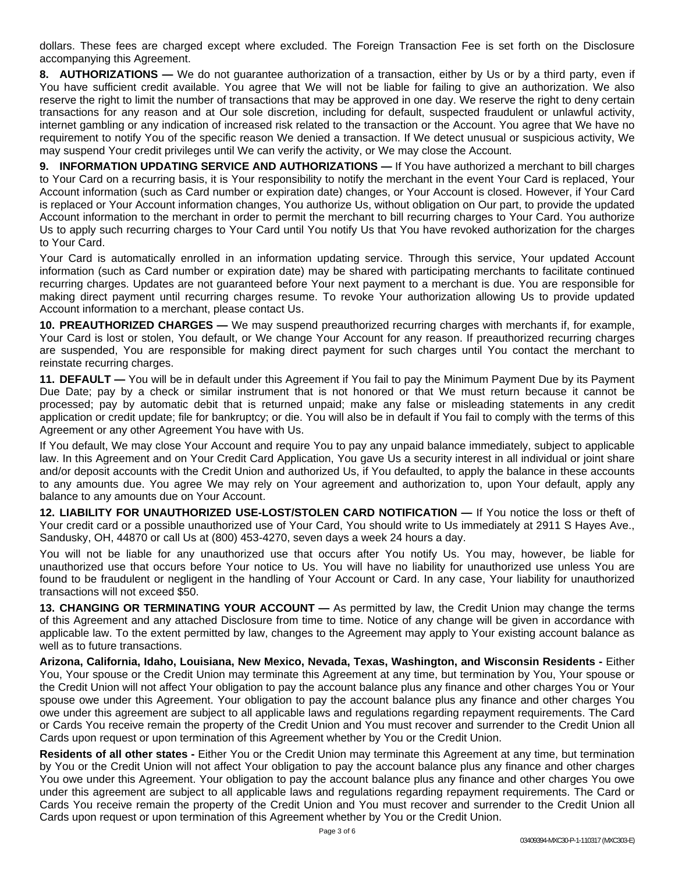dollars. These fees are charged except where excluded. The Foreign Transaction Fee is set forth on the Disclosure accompanying this Agreement.

**8. AUTHORIZATIONS —** We do not guarantee authorization of a transaction, either by Us or by a third party, even if You have sufficient credit available. You agree that We will not be liable for failing to give an authorization. We also reserve the right to limit the number of transactions that may be approved in one day. We reserve the right to deny certain transactions for any reason and at Our sole discretion, including for default, suspected fraudulent or unlawful activity, internet gambling or any indication of increased risk related to the transaction or the Account. You agree that We have no requirement to notify You of the specific reason We denied a transaction. If We detect unusual or suspicious activity, We may suspend Your credit privileges until We can verify the activity, or We may close the Account.

**9. INFORMATION UPDATING SERVICE AND AUTHORIZATIONS —** If You have authorized a merchant to bill charges to Your Card on a recurring basis, it is Your responsibility to notify the merchant in the event Your Card is replaced, Your Account information (such as Card number or expiration date) changes, or Your Account is closed. However, if Your Card is replaced or Your Account information changes, You authorize Us, without obligation on Our part, to provide the updated Account information to the merchant in order to permit the merchant to bill recurring charges to Your Card. You authorize Us to apply such recurring charges to Your Card until You notify Us that You have revoked authorization for the charges to Your Card.

Your Card is automatically enrolled in an information updating service. Through this service, Your updated Account information (such as Card number or expiration date) may be shared with participating merchants to facilitate continued recurring charges. Updates are not guaranteed before Your next payment to a merchant is due. You are responsible for making direct payment until recurring charges resume. To revoke Your authorization allowing Us to provide updated Account information to a merchant, please contact Us.

**10. PREAUTHORIZED CHARGES —** We may suspend preauthorized recurring charges with merchants if, for example, Your Card is lost or stolen, You default, or We change Your Account for any reason. If preauthorized recurring charges are suspended, You are responsible for making direct payment for such charges until You contact the merchant to reinstate recurring charges.

**11. DEFAULT —** You will be in default under this Agreement if You fail to pay the Minimum Payment Due by its Payment Due Date; pay by a check or similar instrument that is not honored or that We must return because it cannot be processed; pay by automatic debit that is returned unpaid; make any false or misleading statements in any credit application or credit update; file for bankruptcy; or die. You will also be in default if You fail to comply with the terms of this Agreement or any other Agreement You have with Us.

If You default, We may close Your Account and require You to pay any unpaid balance immediately, subject to applicable law. In this Agreement and on Your Credit Card Application, You gave Us a security interest in all individual or joint share and/or deposit accounts with the Credit Union and authorized Us, if You defaulted, to apply the balance in these accounts to any amounts due. You agree We may rely on Your agreement and authorization to, upon Your default, apply any balance to any amounts due on Your Account.

**12. LIABILITY FOR UNAUTHORIZED USE-LOST/STOLEN CARD NOTIFICATION —** If You notice the loss or theft of Your credit card or a possible unauthorized use of Your Card, You should write to Us immediately at 2911 S Hayes Ave., Sandusky, OH, 44870 or call Us at (800) 453-4270, seven days a week 24 hours a day.

You will not be liable for any unauthorized use that occurs after You notify Us. You may, however, be liable for unauthorized use that occurs before Your notice to Us. You will have no liability for unauthorized use unless You are found to be fraudulent or negligent in the handling of Your Account or Card. In any case, Your liability for unauthorized transactions will not exceed \$50.

**13. CHANGING OR TERMINATING YOUR ACCOUNT —** As permitted by law, the Credit Union may change the terms of this Agreement and any attached Disclosure from time to time. Notice of any change will be given in accordance with applicable law. To the extent permitted by law, changes to the Agreement may apply to Your existing account balance as well as to future transactions.

**Arizona, California, Idaho, Louisiana, New Mexico, Nevada, Texas, Washington, and Wisconsin Residents -** Either You, Your spouse or the Credit Union may terminate this Agreement at any time, but termination by You, Your spouse or the Credit Union will not affect Your obligation to pay the account balance plus any finance and other charges You or Your spouse owe under this Agreement. Your obligation to pay the account balance plus any finance and other charges You owe under this agreement are subject to all applicable laws and regulations regarding repayment requirements. The Card or Cards You receive remain the property of the Credit Union and You must recover and surrender to the Credit Union all Cards upon request or upon termination of this Agreement whether by You or the Credit Union.

**Residents of all other states -** Either You or the Credit Union may terminate this Agreement at any time, but termination by You or the Credit Union will not affect Your obligation to pay the account balance plus any finance and other charges You owe under this Agreement. Your obligation to pay the account balance plus any finance and other charges You owe under this agreement are subject to all applicable laws and regulations regarding repayment requirements. The Card or Cards You receive remain the property of the Credit Union and You must recover and surrender to the Credit Union all Cards upon request or upon termination of this Agreement whether by You or the Credit Union.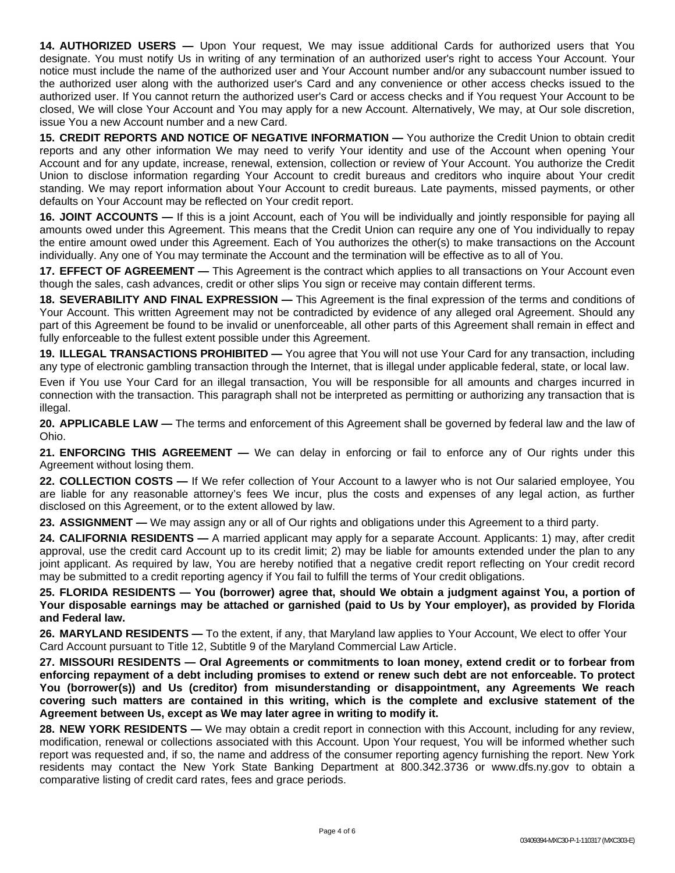**14. AUTHORIZED USERS —** Upon Your request, We may issue additional Cards for authorized users that You designate. You must notify Us in writing of any termination of an authorized user's right to access Your Account. Your notice must include the name of the authorized user and Your Account number and/or any subaccount number issued to the authorized user along with the authorized user's Card and any convenience or other access checks issued to the authorized user. If You cannot return the authorized user's Card or access checks and if You request Your Account to be closed, We will close Your Account and You may apply for a new Account. Alternatively, We may, at Our sole discretion, issue You a new Account number and a new Card.

**15. CREDIT REPORTS AND NOTICE OF NEGATIVE INFORMATION —** You authorize the Credit Union to obtain credit reports and any other information We may need to verify Your identity and use of the Account when opening Your Account and for any update, increase, renewal, extension, collection or review of Your Account. You authorize the Credit Union to disclose information regarding Your Account to credit bureaus and creditors who inquire about Your credit standing. We may report information about Your Account to credit bureaus. Late payments, missed payments, or other defaults on Your Account may be reflected on Your credit report.

**16. JOINT ACCOUNTS —** If this is a joint Account, each of You will be individually and jointly responsible for paying all amounts owed under this Agreement. This means that the Credit Union can require any one of You individually to repay the entire amount owed under this Agreement. Each of You authorizes the other(s) to make transactions on the Account individually. Any one of You may terminate the Account and the termination will be effective as to all of You.

**17. EFFECT OF AGREEMENT —** This Agreement is the contract which applies to all transactions on Your Account even though the sales, cash advances, credit or other slips You sign or receive may contain different terms.

**18. SEVERABILITY AND FINAL EXPRESSION —** This Agreement is the final expression of the terms and conditions of Your Account. This written Agreement may not be contradicted by evidence of any alleged oral Agreement. Should any part of this Agreement be found to be invalid or unenforceable, all other parts of this Agreement shall remain in effect and fully enforceable to the fullest extent possible under this Agreement.

**19. ILLEGAL TRANSACTIONS PROHIBITED —** You agree that You will not use Your Card for any transaction, including any type of electronic gambling transaction through the Internet, that is illegal under applicable federal, state, or local law.

Even if You use Your Card for an illegal transaction, You will be responsible for all amounts and charges incurred in connection with the transaction. This paragraph shall not be interpreted as permitting or authorizing any transaction that is illegal.

**20. APPLICABLE LAW —** The terms and enforcement of this Agreement shall be governed by federal law and the law of Ohio.

**21. ENFORCING THIS AGREEMENT —** We can delay in enforcing or fail to enforce any of Our rights under this Agreement without losing them.

**22. COLLECTION COSTS —** If We refer collection of Your Account to a lawyer who is not Our salaried employee, You are liable for any reasonable attorney's fees We incur, plus the costs and expenses of any legal action, as further disclosed on this Agreement, or to the extent allowed by law.

**23. ASSIGNMENT —** We may assign any or all of Our rights and obligations under this Agreement to a third party.

**24. CALIFORNIA RESIDENTS —** A married applicant may apply for a separate Account. Applicants: 1) may, after credit approval, use the credit card Account up to its credit limit; 2) may be liable for amounts extended under the plan to any joint applicant. As required by law, You are hereby notified that a negative credit report reflecting on Your credit record may be submitted to a credit reporting agency if You fail to fulfill the terms of Your credit obligations.

**25. FLORIDA RESIDENTS — You (borrower) agree that, should We obtain a judgment against You, a portion of Your disposable earnings may be attached or garnished (paid to Us by Your employer), as provided by Florida and Federal law.**

**26. MARYLAND RESIDENTS —** To the extent, if any, that Maryland law applies to Your Account, We elect to offer Your Card Account pursuant to Title 12, Subtitle 9 of the Maryland Commercial Law Article.

**27. MISSOURI RESIDENTS — Oral Agreements or commitments to loan money, extend credit or to forbear from enforcing repayment of a debt including promises to extend or renew such debt are not enforceable. To protect You (borrower(s)) and Us (creditor) from misunderstanding or disappointment, any Agreements We reach covering such matters are contained in this writing, which is the complete and exclusive statement of the Agreement between Us, except as We may later agree in writing to modify it.**

**28. NEW YORK RESIDENTS —** We may obtain a credit report in connection with this Account, including for any review, modification, renewal or collections associated with this Account. Upon Your request, You will be informed whether such report was requested and, if so, the name and address of the consumer reporting agency furnishing the report. New York residents may contact the New York State Banking Department at 800.342.3736 or www.dfs.ny.gov to obtain a comparative listing of credit card rates, fees and grace periods.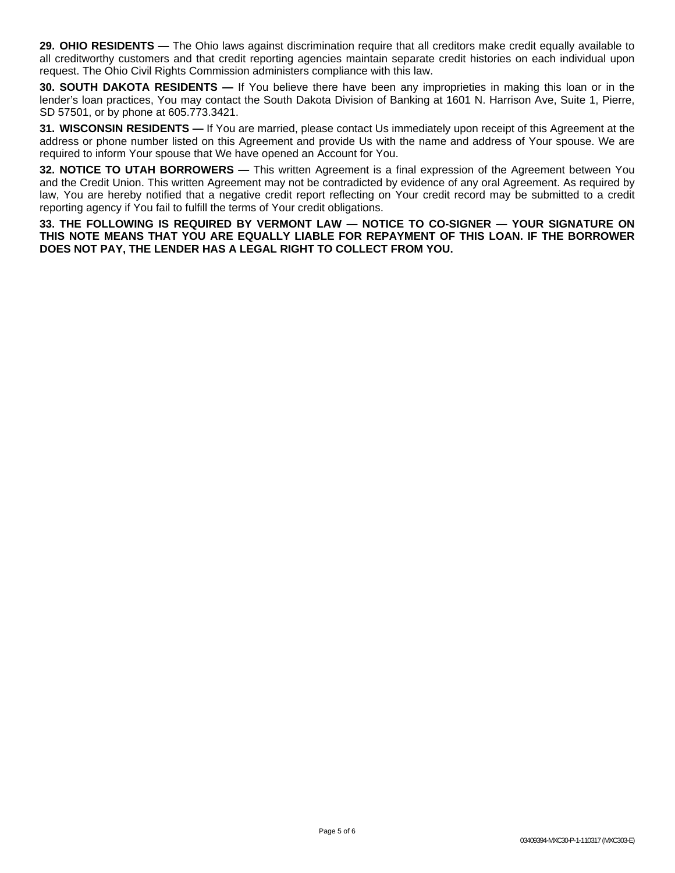**29. OHIO RESIDENTS** — The Ohio laws against discrimination require that all creditors make credit equally available to all creditworthy customers and that credit reporting agencies maintain separate credit histories on each individual upon request. The Ohio Civil Rights Commission administers compliance with this law.

**30. SOUTH DAKOTA RESIDENTS —** If You believe there have been any improprieties in making this loan or in the lender's loan practices, You may contact the South Dakota Division of Banking at 1601 N. Harrison Ave, Suite 1, Pierre, SD 57501, or by phone at 605.773.3421.

**31. WISCONSIN RESIDENTS —** If You are married, please contact Us immediately upon receipt of this Agreement at the address or phone number listed on this Agreement and provide Us with the name and address of Your spouse. We are required to inform Your spouse that We have opened an Account for You.

**32. NOTICE TO UTAH BORROWERS —** This written Agreement is a final expression of the Agreement between You and the Credit Union. This written Agreement may not be contradicted by evidence of any oral Agreement. As required by law, You are hereby notified that a negative credit report reflecting on Your credit record may be submitted to a credit reporting agency if You fail to fulfill the terms of Your credit obligations.

**33. THE FOLLOWING IS REQUIRED BY VERMONT LAW — NOTICE TO CO-SIGNER — YOUR SIGNATURE ON THIS NOTE MEANS THAT YOU ARE EQUALLY LIABLE FOR REPAYMENT OF THIS LOAN. IF THE BORROWER DOES NOT PAY, THE LENDER HAS A LEGAL RIGHT TO COLLECT FROM YOU.**